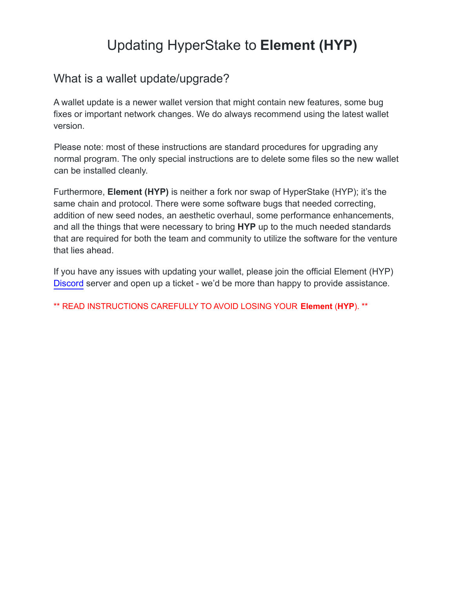# Updating HyperStake to **Element (HYP)**

#### What is a wallet update/upgrade?

A wallet update is a newer wallet version that might contain new features, some bug fixes or important network changes. We do always recommend using the latest wallet version.

Please note: most of these instructions are standard procedures for upgrading any normal program. The only special instructions are to delete some files so the new wallet can be installed cleanly.

Furthermore, **Element (HYP)** is neither a fork nor swap of HyperStake (HYP); it's the same chain and protocol. There were some software bugs that needed correcting, addition of new seed nodes, an aesthetic overhaul, some performance enhancements, and all the things that were necessary to bring **HYP** up to the much needed standards that are required for both the team and community to utilize the software for the venture that lies ahead.

If you have any issues with updating your wallet, please join the official Element (HYP) [Discord](https://discord.gg/TtsmkHHgen) server and open up a ticket - we'd be more than happy to provide assistance.

\*\* READ INSTRUCTIONS CAREFULLY TO AVOID LOSING YOUR **Element** (**HYP**). \*\*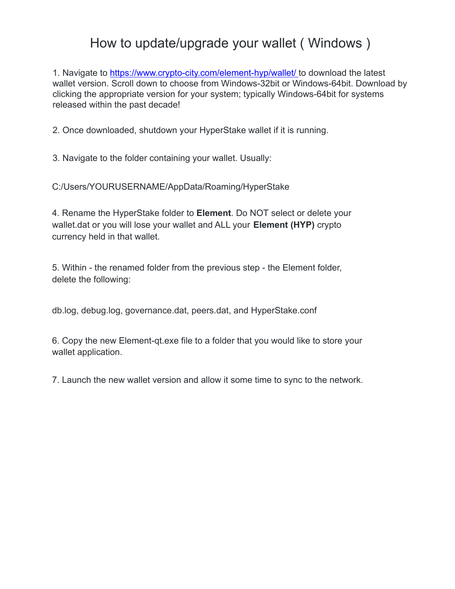### How to update/upgrade your wallet ( Windows )

1. Navigate to https://www.crypto-city.com/element-hyp/wallet/ to download the latest wallet version. Scroll down to choose from Windows-32bit or Windows-64bit. Download by clicking the appropriate version for your system; typically Windows-64bit for systems released within the past decade!

2. Once downloaded, shutdown your HyperStake wallet if it is running.

3. Navigate to the folder containing your wallet. Usually:

C:/Users/YOURUSERNAME/AppData/Roaming/HyperStake

4. Rename the HyperStake folder to **Element**. Do NOT select or delete your wallet.dat or you will lose your wallet and ALL your **Element (HYP)** crypto currency held in that wallet.

5. Within - the renamed folder from the previous step - the Element folder, delete the following:

db.log, debug.log, governance.dat, peers.dat, and HyperStake.conf

6. Copy the new Element-qt.exe file to a folder that you would like to store your wallet application.

7. Launch the new wallet version and allow it some time to sync to the network.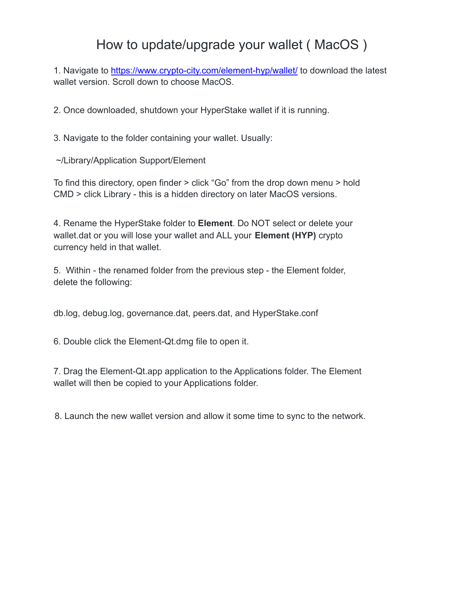## How to update/upgrade your wallet ( MacOS )

1. Navigate to https://www.crypto-city.com/element-hyp/wallet/ to download the latest wallet version. Scroll down to choose MacOS.

2. Once downloaded, shutdown your HyperStake wallet if it is running.

3. Navigate to the folder containing your wallet. Usually:

~/Library/Application Support/Element

To find this directory, open finder > click "Go" from the drop down menu > hold CMD > click Library - this is a hidden directory on later MacOS versions.

4. Rename the HyperStake folder to **Element**. Do NOT select or delete your wallet.dat or you will lose your wallet and ALL your **Element (HYP)** crypto currency held in that wallet.

5. Within - the renamed folder from the previous step - the Element folder, delete the following:

db.log, debug.log, governance.dat, peers.dat, and HyperStake.conf

6. Double click the Element-Qt.dmg file to open it.

7. Drag the Element-Qt.app application to the Applications folder. The Element wallet will then be copied to your Applications folder.

8. Launch the new wallet version and allow it some time to sync to the network.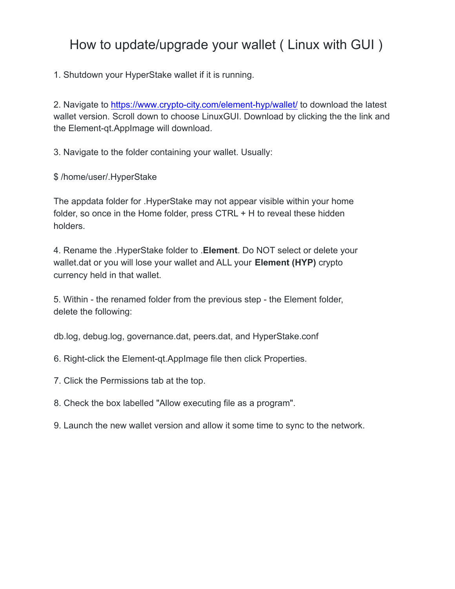## How to update/upgrade your wallet ( Linux with GUI )

1. Shutdown your HyperStake wallet if it is running.

2. Navigate to https://www.crypto-city.com/element-hyp/wallet/ to download the latest wallet version. Scroll down to choose LinuxGUI. Download by clicking the the link and the Element-qt.AppImage will download.

3. Navigate to the folder containing your wallet. Usually:

\$ /home/user/.HyperStake

The appdata folder for .HyperStake may not appear visible within your home folder, so once in the Home folder, press CTRL + H to reveal these hidden holders.

4. Rename the .HyperStake folder to .**Element**. Do NOT select or delete your wallet.dat or you will lose your wallet and ALL your **Element (HYP)** crypto currency held in that wallet.

5. Within - the renamed folder from the previous step - the Element folder, delete the following:

db.log, debug.log, governance.dat, peers.dat, and HyperStake.conf

- 6. Right-click the Element-qt.AppImage file then click Properties.
- 7. Click the Permissions tab at the top.
- 8. Check the box labelled "Allow executing file as a program".
- 9. Launch the new wallet version and allow it some time to sync to the network.